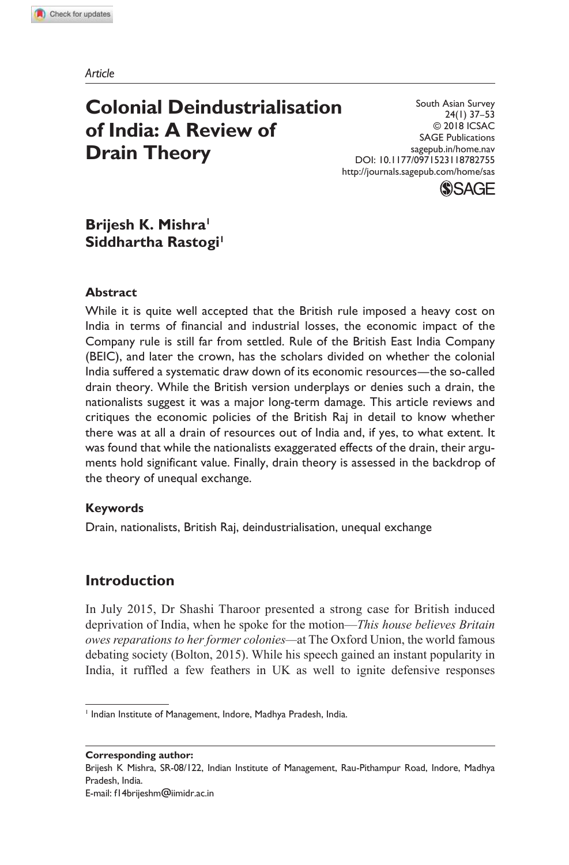*Article*

# **Colonial Deindustrialisation of India: A Review of Drain Theory**

South Asian Survey 24(1) 37–53 © 2018 ICSAC SAGE Publications sagepub.in/home.nav DOI: 10.1177/0971523118782755 http://journals.sagepub.com/home/sas



**Brijesh K. Mishra<sup>1</sup> Siddhartha Rastogi<sup>1</sup>**

## **Abstract**

While it is quite well accepted that the British rule imposed a heavy cost on India in terms of financial and industrial losses, the economic impact of the Company rule is still far from settled. Rule of the British East India Company (BEIC), and later the crown, has the scholars divided on whether the colonial India suffered a systematic draw down of its economic resources—the so-called drain theory. While the British version underplays or denies such a drain, the nationalists suggest it was a major long-term damage. This article reviews and critiques the economic policies of the British Raj in detail to know whether there was at all a drain of resources out of India and, if yes, to what extent. It was found that while the nationalists exaggerated effects of the drain, their arguments hold significant value. Finally, drain theory is assessed in the backdrop of the theory of unequal exchange.

#### **Keywords**

Drain, nationalists, British Raj, deindustrialisation, unequal exchange

## **Introduction**

In July 2015, Dr Shashi Tharoor presented a strong case for British induced deprivation of India, when he spoke for the motion—*This house believes Britain owes reparations to her former colonies—*at The Oxford Union, the world famous debating society (Bolton, 2015). While his speech gained an instant popularity in India, it ruffled a few feathers in UK as well to ignite defensive responses

<sup>&</sup>lt;sup>1</sup> Indian Institute of Management, Indore, Madhya Pradesh, India.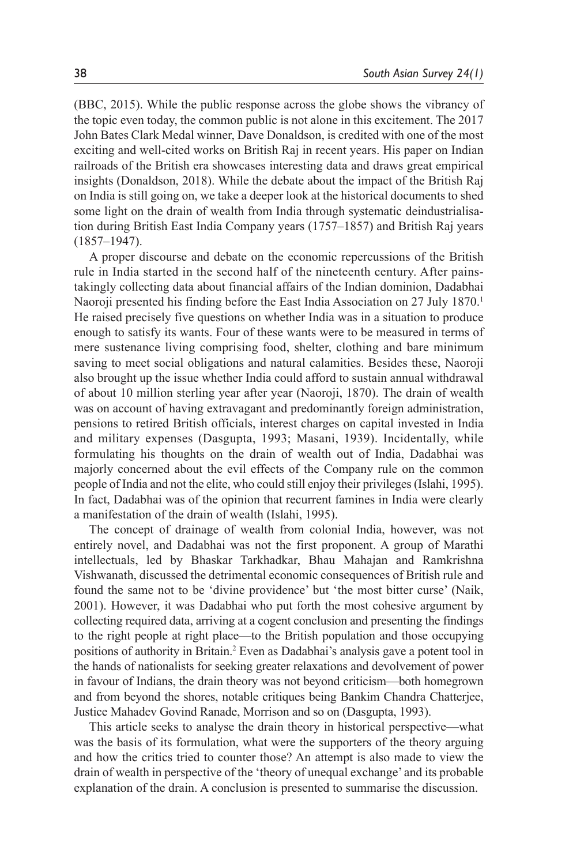(BBC, 2015). While the public response across the globe shows the vibrancy of the topic even today, the common public is not alone in this excitement. The 2017 John Bates Clark Medal winner, Dave Donaldson, is credited with one of the most exciting and well-cited works on British Raj in recent years. His paper on Indian railroads of the British era showcases interesting data and draws great empirical insights (Donaldson, 2018). While the debate about the impact of the British Raj on India is still going on, we take a deeper look at the historical documents to shed some light on the drain of wealth from India through systematic deindustrialisation during British East India Company years (1757–1857) and British Raj years (1857–1947).

A proper discourse and debate on the economic repercussions of the British rule in India started in the second half of the nineteenth century. After painstakingly collecting data about financial affairs of the Indian dominion, Dadabhai Naoroji presented his finding before the East India Association on 27 July 1870.<sup>1</sup> He raised precisely five questions on whether India was in a situation to produce enough to satisfy its wants. Four of these wants were to be measured in terms of mere sustenance living comprising food, shelter, clothing and bare minimum saving to meet social obligations and natural calamities. Besides these, Naoroji also brought up the issue whether India could afford to sustain annual withdrawal of about 10 million sterling year after year (Naoroji, 1870). The drain of wealth was on account of having extravagant and predominantly foreign administration, pensions to retired British officials, interest charges on capital invested in India and military expenses (Dasgupta, 1993; Masani, 1939). Incidentally, while formulating his thoughts on the drain of wealth out of India, Dadabhai was majorly concerned about the evil effects of the Company rule on the common people of India and not the elite, who could still enjoy their privileges (Islahi, 1995). In fact, Dadabhai was of the opinion that recurrent famines in India were clearly a manifestation of the drain of wealth (Islahi, 1995).

The concept of drainage of wealth from colonial India, however, was not entirely novel, and Dadabhai was not the first proponent. A group of Marathi intellectuals, led by Bhaskar Tarkhadkar, Bhau Mahajan and Ramkrishna Vishwanath, discussed the detrimental economic consequences of British rule and found the same not to be 'divine providence' but 'the most bitter curse' (Naik, 2001). However, it was Dadabhai who put forth the most cohesive argument by collecting required data, arriving at a cogent conclusion and presenting the findings to the right people at right place—to the British population and those occupying positions of authority in Britain.<sup>2</sup> Even as Dadabhai's analysis gave a potent tool in the hands of nationalists for seeking greater relaxations and devolvement of power in favour of Indians, the drain theory was not beyond criticism—both homegrown and from beyond the shores, notable critiques being Bankim Chandra Chatterjee, Justice Mahadev Govind Ranade, Morrison and so on (Dasgupta, 1993).

This article seeks to analyse the drain theory in historical perspective—what was the basis of its formulation, what were the supporters of the theory arguing and how the critics tried to counter those? An attempt is also made to view the drain of wealth in perspective of the 'theory of unequal exchange' and its probable explanation of the drain. A conclusion is presented to summarise the discussion.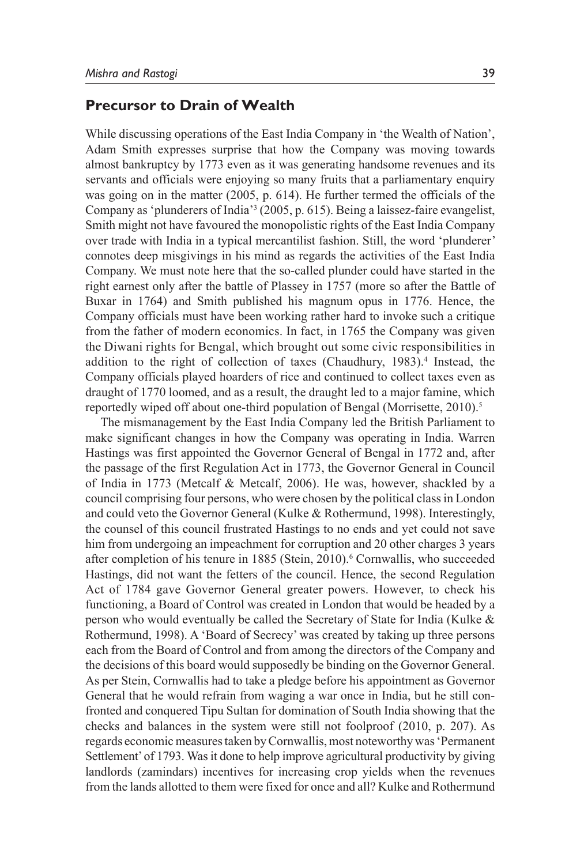### **Precursor to Drain of Wealth**

While discussing operations of the East India Company in 'the Wealth of Nation', Adam Smith expresses surprise that how the Company was moving towards almost bankruptcy by 1773 even as it was generating handsome revenues and its servants and officials were enjoying so many fruits that a parliamentary enquiry was going on in the matter (2005, p. 614). He further termed the officials of the Company as 'plunderers of India'<sup>3</sup> (2005, p. 615). Being a laissez-faire evangelist, Smith might not have favoured the monopolistic rights of the East India Company over trade with India in a typical mercantilist fashion. Still, the word 'plunderer' connotes deep misgivings in his mind as regards the activities of the East India Company. We must note here that the so-called plunder could have started in the right earnest only after the battle of Plassey in 1757 (more so after the Battle of Buxar in 1764) and Smith published his magnum opus in 1776. Hence, the Company officials must have been working rather hard to invoke such a critique from the father of modern economics. In fact, in 1765 the Company was given the Diwani rights for Bengal, which brought out some civic responsibilities in addition to the right of collection of taxes (Chaudhury, 1983).<sup>4</sup> Instead, the Company officials played hoarders of rice and continued to collect taxes even as draught of 1770 loomed, and as a result, the draught led to a major famine, which reportedly wiped off about one-third population of Bengal (Morrisette, 2010).<sup>5</sup>

The mismanagement by the East India Company led the British Parliament to make significant changes in how the Company was operating in India. Warren Hastings was first appointed the Governor General of Bengal in 1772 and, after the passage of the first Regulation Act in 1773, the Governor General in Council of India in 1773 (Metcalf & Metcalf, 2006). He was, however, shackled by a council comprising four persons, who were chosen by the political class in London and could veto the Governor General (Kulke  $& R$  Rothermund, 1998). Interestingly, the counsel of this council frustrated Hastings to no ends and yet could not save him from undergoing an impeachment for corruption and 20 other charges 3 years after completion of his tenure in 1885 (Stein, 2010).<sup>6</sup> Cornwallis, who succeeded Hastings, did not want the fetters of the council. Hence, the second Regulation Act of 1784 gave Governor General greater powers. However, to check his functioning, a Board of Control was created in London that would be headed by a person who would eventually be called the Secretary of State for India (Kulke & Rothermund, 1998). A 'Board of Secrecy' was created by taking up three persons each from the Board of Control and from among the directors of the Company and the decisions of this board would supposedly be binding on the Governor General. As per Stein, Cornwallis had to take a pledge before his appointment as Governor General that he would refrain from waging a war once in India, but he still confronted and conquered Tipu Sultan for domination of South India showing that the checks and balances in the system were still not foolproof (2010, p. 207). As regards economic measures taken by Cornwallis, most noteworthy was 'Permanent Settlement' of 1793. Was it done to help improve agricultural productivity by giving landlords (zamindars) incentives for increasing crop yields when the revenues from the lands allotted to them were fixed for once and all? Kulke and Rothermund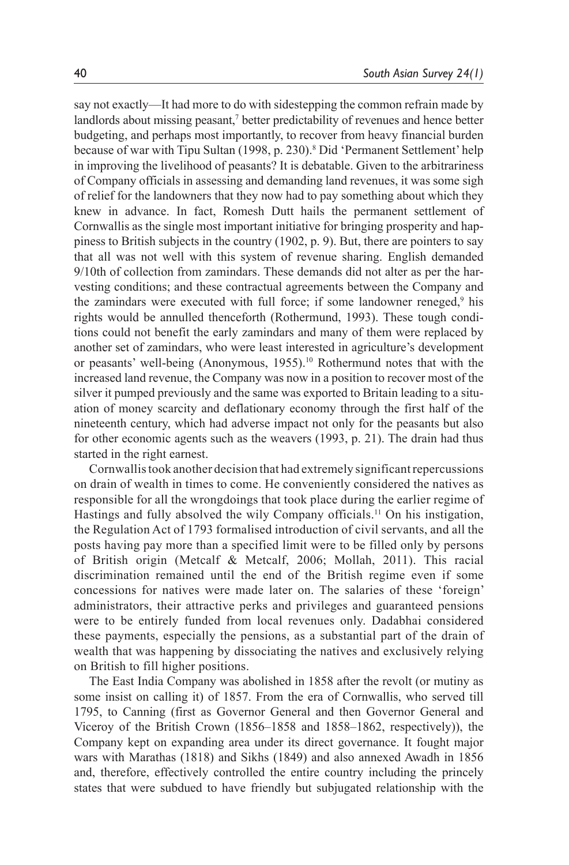say not exactly—It had more to do with sidestepping the common refrain made by landlords about missing peasant,<sup>7</sup> better predictability of revenues and hence better budgeting, and perhaps most importantly, to recover from heavy financial burden because of war with Tipu Sultan (1998, p. 230).<sup>8</sup> Did 'Permanent Settlement' help in improving the livelihood of peasants? It is debatable. Given to the arbitrariness of Company officials in assessing and demanding land revenues, it was some sigh of relief for the landowners that they now had to pay something about which they knew in advance. In fact, Romesh Dutt hails the permanent settlement of Cornwallis as the single most important initiative for bringing prosperity and happiness to British subjects in the country (1902, p. 9). But, there are pointers to say that all was not well with this system of revenue sharing. English demanded 9/10th of collection from zamindars. These demands did not alter as per the harvesting conditions; and these contractual agreements between the Company and the zamindars were executed with full force; if some landowner reneged,<sup>9</sup> his rights would be annulled thenceforth (Rothermund, 1993). These tough conditions could not benefit the early zamindars and many of them were replaced by another set of zamindars, who were least interested in agriculture's development or peasants' well-being (Anonymous, 1955).<sup>10</sup> Rothermund notes that with the increased land revenue, the Company was now in a position to recover most of the silver it pumped previously and the same was exported to Britain leading to a situation of money scarcity and deflationary economy through the first half of the nineteenth century, which had adverse impact not only for the peasants but also for other economic agents such as the weavers (1993, p. 21). The drain had thus started in the right earnest.

Cornwallis took another decision that had extremely significant repercussions on drain of wealth in times to come. He conveniently considered the natives as responsible for all the wrongdoings that took place during the earlier regime of Hastings and fully absolved the wily Company officials.<sup>11</sup> On his instigation, the Regulation Act of 1793 formalised introduction of civil servants, and all the posts having pay more than a specified limit were to be filled only by persons of British origin (Metcalf & Metcalf, 2006; Mollah, 2011). This racial discrimination remained until the end of the British regime even if some concessions for natives were made later on. The salaries of these 'foreign' administrators, their attractive perks and privileges and guaranteed pensions were to be entirely funded from local revenues only. Dadabhai considered these payments, especially the pensions, as a substantial part of the drain of wealth that was happening by dissociating the natives and exclusively relying on British to fill higher positions.

The East India Company was abolished in 1858 after the revolt (or mutiny as some insist on calling it) of 1857. From the era of Cornwallis, who served till 1795, to Canning (first as Governor General and then Governor General and Viceroy of the British Crown (1856–1858 and 1858–1862, respectively)), the Company kept on expanding area under its direct governance. It fought major wars with Marathas (1818) and Sikhs (1849) and also annexed Awadh in 1856 and, therefore, effectively controlled the entire country including the princely states that were subdued to have friendly but subjugated relationship with the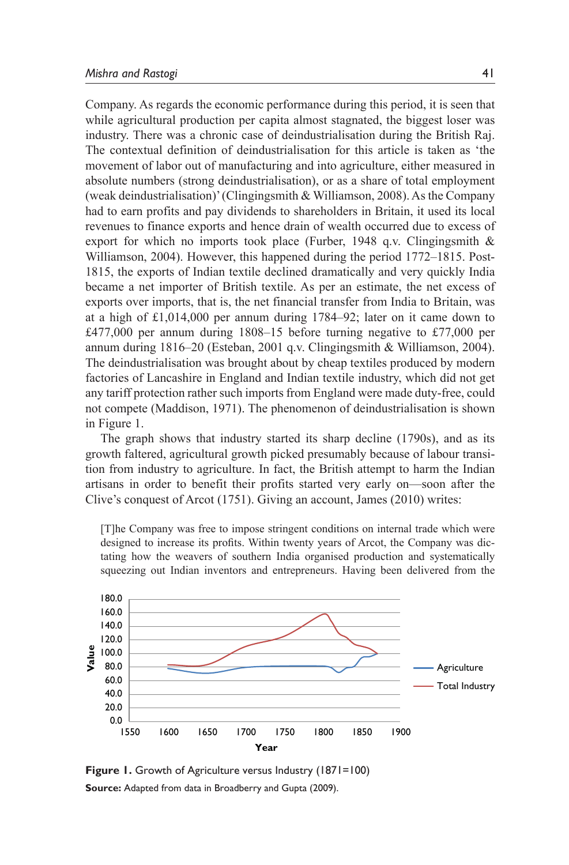Company. As regards the economic performance during this period, it is seen that while agricultural production per capita almost stagnated, the biggest loser was industry. There was a chronic case of deindustrialisation during the British Raj. The contextual definition of deindustrialisation for this article is taken as 'the movement of labor out of manufacturing and into agriculture, either measured in absolute numbers (strong deindustrialisation), or as a share of total employment (weak deindustrialisation)' (Clingingsmith & Williamson, 2008). As the Company had to earn profits and pay dividends to shareholders in Britain, it used its local revenues to finance exports and hence drain of wealth occurred due to excess of export for which no imports took place (Furber, 1948 q.v. Clingingsmith & Williamson, 2004). However, this happened during the period 1772–1815. Post-1815, the exports of Indian textile declined dramatically and very quickly India became a net importer of British textile. As per an estimate, the net excess of exports over imports, that is, the net financial transfer from India to Britain, was at a high of £1,014,000 per annum during 1784–92; later on it came down to £477,000 per annum during 1808–15 before turning negative to £77,000 per annum during 1816–20 (Esteban, 2001 q.v. Clingingsmith & Williamson, 2004). The deindustrialisation was brought about by cheap textiles produced by modern factories of Lancashire in England and Indian textile industry, which did not get any tariff protection rather such imports from England were made duty-free, could not compete (Maddison, 1971). The phenomenon of deindustrialisation is shown in Figure 1.

The graph shows that industry started its sharp decline (1790s), and as its growth faltered, agricultural growth picked presumably because of labour transition from industry to agriculture. In fact, the British attempt to harm the Indian artisans in order to benefit their profits started very early on—soon after the Clive's conquest of Arcot (1751). Giving an account, James (2010) writes:

[T]he Company was free to impose stringent conditions on internal trade which were designed to increase its profits. Within twenty years of Arcot, the Company was dictating how the weavers of southern India organised production and systematically squeezing out Indian inventors and entrepreneurs. Having been delivered from the



**Figure 1.** Growth of Agriculture versus Industry (1871=100) **Source:** Adapted from data in Broadberry and Gupta (2009).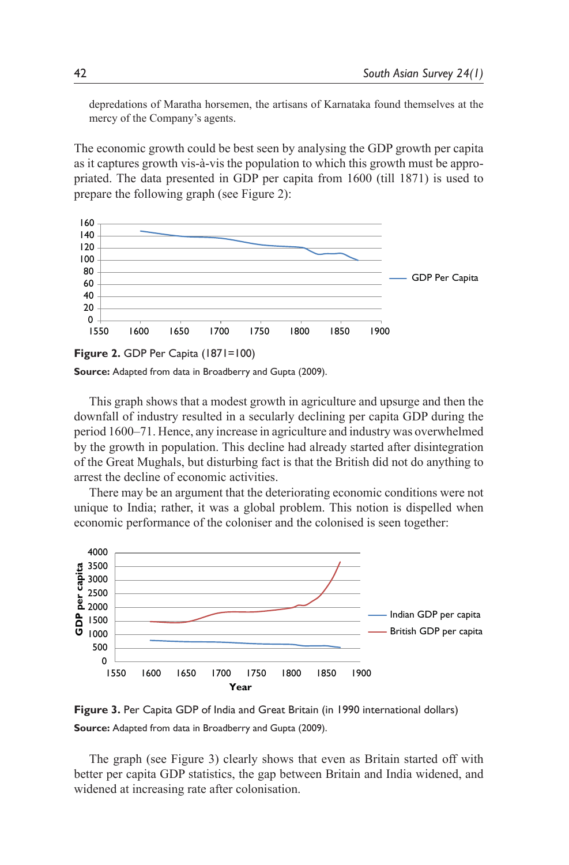depredations of Maratha horsemen, the artisans of Karnataka found themselves at the mercy of the Company's agents.

The economic growth could be best seen by analysing the GDP growth per capita as it captures growth vis-à-vis the population to which this growth must be appropriated. The data presented in GDP per capita from 1600 (till 1871) is used to prepare the following graph (see Figure 2):



**Source:** Adapted from data in Broadberry and Gupta (2009).

This graph shows that a modest growth in agriculture and upsurge and then the downfall of industry resulted in a secularly declining per capita GDP during the period 1600–71. Hence, any increase in agriculture and industry was overwhelmed by the growth in population. This decline had already started after disintegration of the Great Mughals, but disturbing fact is that the British did not do anything to arrest the decline of economic activities.

There may be an argument that the deteriorating economic conditions were not unique to India; rather, it was a global problem. This notion is dispelled when economic performance of the coloniser and the colonised is seen together:



**Figure 3.** Per Capita GDP of India and Great Britain (in 1990 international dollars) **Source:** Adapted from data in Broadberry and Gupta (2009).

The graph (see Figure 3) clearly shows that even as Britain started off with better per capita GDP statistics, the gap between Britain and India widened, and widened at increasing rate after colonisation.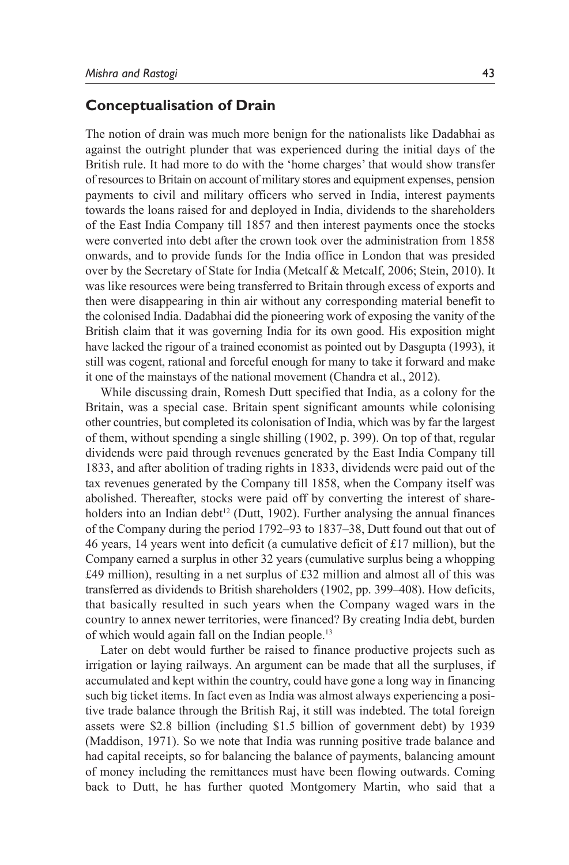#### **Conceptualisation of Drain**

The notion of drain was much more benign for the nationalists like Dadabhai as against the outright plunder that was experienced during the initial days of the British rule. It had more to do with the 'home charges' that would show transfer of resources to Britain on account of military stores and equipment expenses, pension payments to civil and military officers who served in India, interest payments towards the loans raised for and deployed in India, dividends to the shareholders of the East India Company till 1857 and then interest payments once the stocks were converted into debt after the crown took over the administration from 1858 onwards, and to provide funds for the India office in London that was presided over by the Secretary of State for India (Metcalf & Metcalf, 2006; Stein, 2010). It was like resources were being transferred to Britain through excess of exports and then were disappearing in thin air without any corresponding material benefit to the colonised India. Dadabhai did the pioneering work of exposing the vanity of the British claim that it was governing India for its own good. His exposition might have lacked the rigour of a trained economist as pointed out by Dasgupta (1993), it still was cogent, rational and forceful enough for many to take it forward and make it one of the mainstays of the national movement (Chandra et al., 2012).

While discussing drain, Romesh Dutt specified that India, as a colony for the Britain, was a special case. Britain spent significant amounts while colonising other countries, but completed its colonisation of India, which was by far the largest of them, without spending a single shilling (1902, p. 399). On top of that, regular dividends were paid through revenues generated by the East India Company till 1833, and after abolition of trading rights in 1833, dividends were paid out of the tax revenues generated by the Company till 1858, when the Company itself was abolished. Thereafter, stocks were paid off by converting the interest of shareholders into an Indian debt<sup>12</sup> (Dutt, 1902). Further analysing the annual finances of the Company during the period 1792–93 to 1837–38, Dutt found out that out of 46 years, 14 years went into deficit (a cumulative deficit of £17 million), but the Company earned a surplus in other 32 years (cumulative surplus being a whopping  $£49$  million), resulting in a net surplus of £32 million and almost all of this was transferred as dividends to British shareholders (1902, pp. 399–408). How deficits, that basically resulted in such years when the Company waged wars in the country to annex newer territories, were financed? By creating India debt, burden of which would again fall on the Indian people.<sup>13</sup>

Later on debt would further be raised to finance productive projects such as irrigation or laying railways. An argument can be made that all the surpluses, if accumulated and kept within the country, could have gone a long way in financing such big ticket items. In fact even as India was almost always experiencing a positive trade balance through the British Raj, it still was indebted. The total foreign assets were \$2.8 billion (including \$1.5 billion of government debt) by 1939 (Maddison, 1971). So we note that India was running positive trade balance and had capital receipts, so for balancing the balance of payments, balancing amount of money including the remittances must have been flowing outwards. Coming back to Dutt, he has further quoted Montgomery Martin, who said that a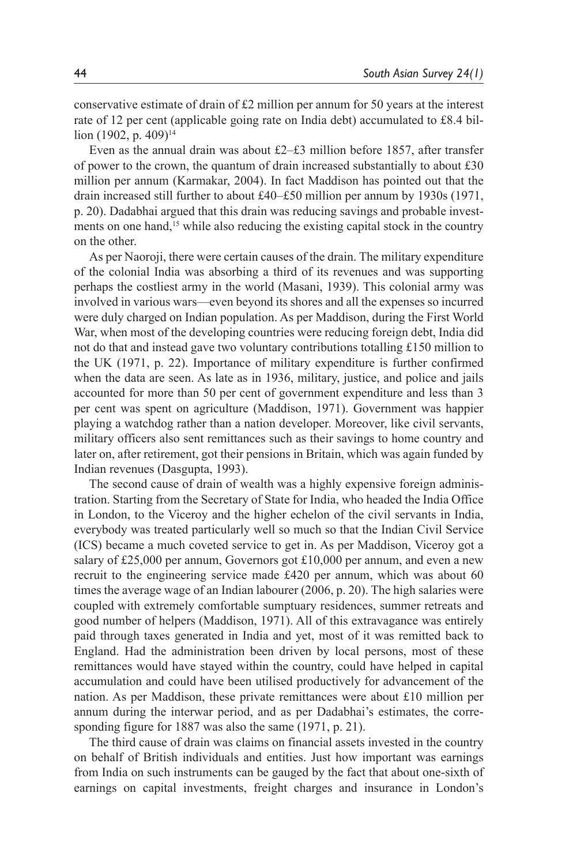conservative estimate of drain of £2 million per annum for 50 years at the interest rate of 12 per cent (applicable going rate on India debt) accumulated to £8.4 billion (1902, p. 409)<sup>14</sup>

Even as the annual drain was about £2–£3 million before 1857, after transfer of power to the crown, the quantum of drain increased substantially to about £30 million per annum (Karmakar, 2004). In fact Maddison has pointed out that the drain increased still further to about £40–£50 million per annum by 1930s (1971, p. 20). Dadabhai argued that this drain was reducing savings and probable investments on one hand,<sup>15</sup> while also reducing the existing capital stock in the country on the other.

As per Naoroji, there were certain causes of the drain. The military expenditure of the colonial India was absorbing a third of its revenues and was supporting perhaps the costliest army in the world (Masani, 1939). This colonial army was involved in various wars—even beyond its shores and all the expenses so incurred were duly charged on Indian population. As per Maddison, during the First World War, when most of the developing countries were reducing foreign debt, India did not do that and instead gave two voluntary contributions totalling £150 million to the UK (1971, p. 22). Importance of military expenditure is further confirmed when the data are seen. As late as in 1936, military, justice, and police and jails accounted for more than 50 per cent of government expenditure and less than 3 per cent was spent on agriculture (Maddison, 1971). Government was happier playing a watchdog rather than a nation developer. Moreover, like civil servants, military officers also sent remittances such as their savings to home country and later on, after retirement, got their pensions in Britain, which was again funded by Indian revenues (Dasgupta, 1993).

The second cause of drain of wealth was a highly expensive foreign administration. Starting from the Secretary of State for India, who headed the India Office in London, to the Viceroy and the higher echelon of the civil servants in India, everybody was treated particularly well so much so that the Indian Civil Service (ICS) became a much coveted service to get in. As per Maddison, Viceroy got a salary of £25,000 per annum, Governors got £10,000 per annum, and even a new recruit to the engineering service made £420 per annum, which was about 60 times the average wage of an Indian labourer (2006, p. 20). The high salaries were coupled with extremely comfortable sumptuary residences, summer retreats and good number of helpers (Maddison, 1971). All of this extravagance was entirely paid through taxes generated in India and yet, most of it was remitted back to England. Had the administration been driven by local persons, most of these remittances would have stayed within the country, could have helped in capital accumulation and could have been utilised productively for advancement of the nation. As per Maddison, these private remittances were about £10 million per annum during the interwar period, and as per Dadabhai's estimates, the corresponding figure for 1887 was also the same (1971, p. 21).

The third cause of drain was claims on financial assets invested in the country on behalf of British individuals and entities. Just how important was earnings from India on such instruments can be gauged by the fact that about one-sixth of earnings on capital investments, freight charges and insurance in London's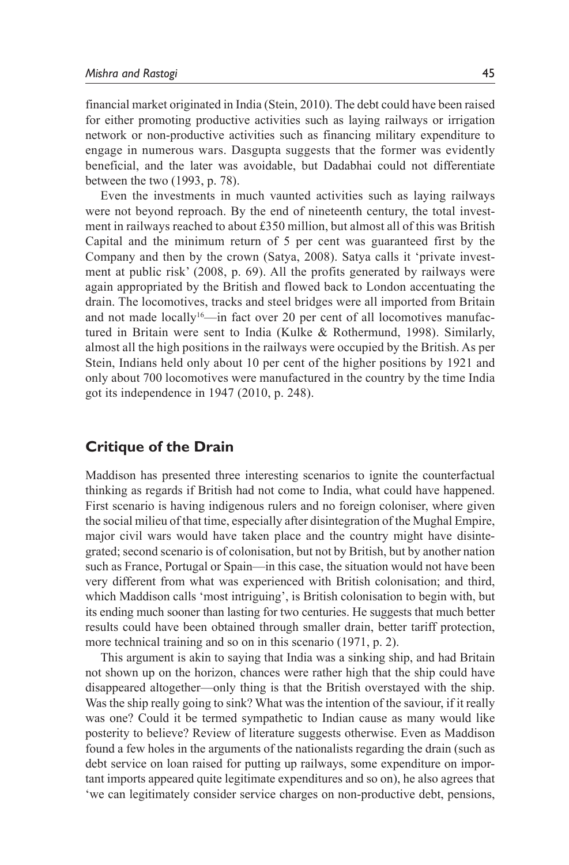financial market originated in India (Stein, 2010). The debt could have been raised for either promoting productive activities such as laying railways or irrigation network or non-productive activities such as financing military expenditure to engage in numerous wars. Dasgupta suggests that the former was evidently beneficial, and the later was avoidable, but Dadabhai could not differentiate between the two (1993, p. 78).

Even the investments in much vaunted activities such as laying railways were not beyond reproach. By the end of nineteenth century, the total investment in railways reached to about £350 million, but almost all of this was British Capital and the minimum return of 5 per cent was guaranteed first by the Company and then by the crown (Satya, 2008). Satya calls it 'private investment at public risk' (2008, p. 69). All the profits generated by railways were again appropriated by the British and flowed back to London accentuating the drain. The locomotives, tracks and steel bridges were all imported from Britain and not made locally<sup>16</sup>—in fact over 20 per cent of all locomotives manufactured in Britain were sent to India (Kulke & Rothermund, 1998). Similarly, almost all the high positions in the railways were occupied by the British. As per Stein, Indians held only about 10 per cent of the higher positions by 1921 and only about 700 locomotives were manufactured in the country by the time India got its independence in 1947 (2010, p. 248).

## **Critique of the Drain**

Maddison has presented three interesting scenarios to ignite the counterfactual thinking as regards if British had not come to India, what could have happened. First scenario is having indigenous rulers and no foreign coloniser, where given the social milieu of that time, especially after disintegration of the Mughal Empire, major civil wars would have taken place and the country might have disintegrated; second scenario is of colonisation, but not by British, but by another nation such as France, Portugal or Spain—in this case, the situation would not have been very different from what was experienced with British colonisation; and third, which Maddison calls 'most intriguing', is British colonisation to begin with, but its ending much sooner than lasting for two centuries. He suggests that much better results could have been obtained through smaller drain, better tariff protection, more technical training and so on in this scenario (1971, p. 2).

This argument is akin to saying that India was a sinking ship, and had Britain not shown up on the horizon, chances were rather high that the ship could have disappeared altogether—only thing is that the British overstayed with the ship. Was the ship really going to sink? What was the intention of the saviour, if it really was one? Could it be termed sympathetic to Indian cause as many would like posterity to believe? Review of literature suggests otherwise. Even as Maddison found a few holes in the arguments of the nationalists regarding the drain (such as debt service on loan raised for putting up railways, some expenditure on important imports appeared quite legitimate expenditures and so on), he also agrees that 'we can legitimately consider service charges on non-productive debt, pensions,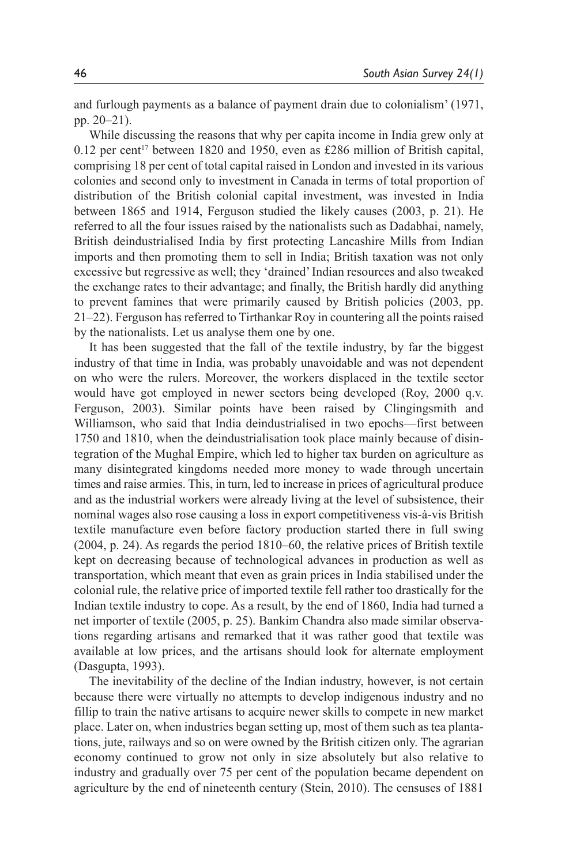and furlough payments as a balance of payment drain due to colonialism' (1971, pp. 20–21).

While discussing the reasons that why per capita income in India grew only at  $0.12$  per cent<sup>17</sup> between 1820 and 1950, even as £286 million of British capital, comprising 18 per cent of total capital raised in London and invested in its various colonies and second only to investment in Canada in terms of total proportion of distribution of the British colonial capital investment, was invested in India between 1865 and 1914, Ferguson studied the likely causes (2003, p. 21). He referred to all the four issues raised by the nationalists such as Dadabhai, namely, British deindustrialised India by first protecting Lancashire Mills from Indian imports and then promoting them to sell in India; British taxation was not only excessive but regressive as well; they 'drained' Indian resources and also tweaked the exchange rates to their advantage; and finally, the British hardly did anything to prevent famines that were primarily caused by British policies (2003, pp. 21–22). Ferguson has referred to Tirthankar Roy in countering all the points raised by the nationalists. Let us analyse them one by one.

It has been suggested that the fall of the textile industry, by far the biggest industry of that time in India, was probably unavoidable and was not dependent on who were the rulers. Moreover, the workers displaced in the textile sector would have got employed in newer sectors being developed (Roy, 2000 q.v. Ferguson, 2003). Similar points have been raised by Clingingsmith and Williamson, who said that India deindustrialised in two epochs—first between 1750 and 1810, when the deindustrialisation took place mainly because of disintegration of the Mughal Empire, which led to higher tax burden on agriculture as many disintegrated kingdoms needed more money to wade through uncertain times and raise armies. This, in turn, led to increase in prices of agricultural produce and as the industrial workers were already living at the level of subsistence, their nominal wages also rose causing a loss in export competitiveness vis-à-vis British textile manufacture even before factory production started there in full swing (2004, p. 24). As regards the period 1810–60, the relative prices of British textile kept on decreasing because of technological advances in production as well as transportation, which meant that even as grain prices in India stabilised under the colonial rule, the relative price of imported textile fell rather too drastically for the Indian textile industry to cope. As a result, by the end of 1860, India had turned a net importer of textile (2005, p. 25). Bankim Chandra also made similar observations regarding artisans and remarked that it was rather good that textile was available at low prices, and the artisans should look for alternate employment (Dasgupta, 1993).

The inevitability of the decline of the Indian industry, however, is not certain because there were virtually no attempts to develop indigenous industry and no fillip to train the native artisans to acquire newer skills to compete in new market place. Later on, when industries began setting up, most of them such as tea plantations, jute, railways and so on were owned by the British citizen only. The agrarian economy continued to grow not only in size absolutely but also relative to industry and gradually over 75 per cent of the population became dependent on agriculture by the end of nineteenth century (Stein, 2010). The censuses of 1881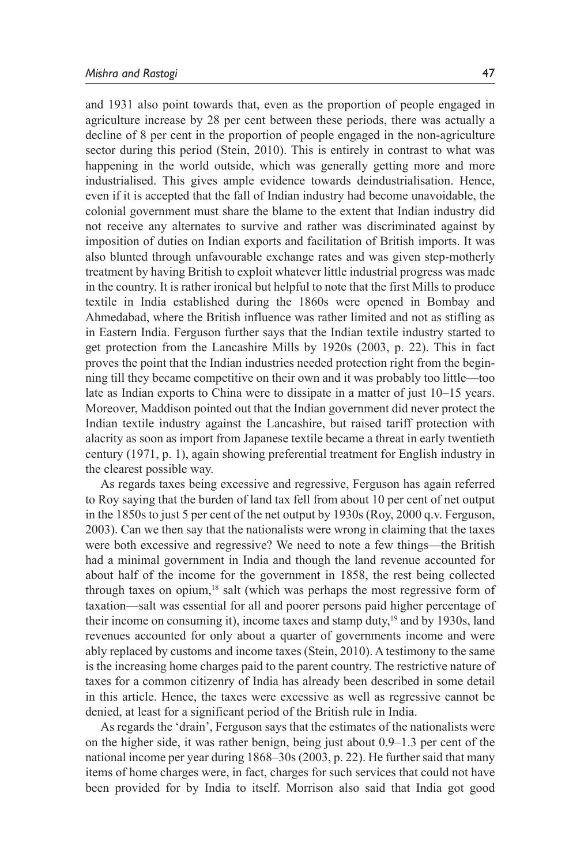and 1931 also point towards that, even as the proportion of people engaged in agriculture increase by 28 per cent between these periods, there was actually a decline of 8 per cent in the proportion of people engaged in the non-agriculture sector during this period (Stein, 2010). This is entirely in contrast to what was happening in the world outside, which was generally getting more and more industrialised. This gives ample evidence towards deindustrialisation. Hence, even if it is accepted that the fall of Indian industry had become unavoidable, the colonial government must share the blame to the extent that Indian industry did not receive any alternates to survive and rather was discriminated against by imposition of duties on Indian exports and facilitation of British imports. It was also blunted through unfavourable exchange rates and was given step-motherly treatment by having British to exploit whatever little industrial progress was made in the country. It is rather ironical but helpful to note that the first Mills to produce textile in India established during the 1860s were opened in Bombay and Ahmedabad, where the British influence was rather limited and not as stifling as in Eastern India. Ferguson further says that the Indian textile industry started to get protection from the Lancashire Mills by 1920s (2003, p. 22). This in fact proves the point that the Indian industries needed protection right from the beginning till they became competitive on their own and it was probably too little—too late as Indian exports to China were to dissipate in a matter of just 10–15 years. Moreover, Maddison pointed out that the Indian government did never protect the Indian textile industry against the Lancashire, but raised tariff protection with alacrity as soon as import from Japanese textile became a threat in early twentieth century (1971, p. 1), again showing preferential treatment for English industry in the clearest possible way.

As regards taxes being excessive and regressive, Ferguson has again referred to Roy saying that the burden of land tax fell from about 10 per cent of net output in the 1850s to just 5 per cent of the net output by 1930s (Roy, 2000 q.v. Ferguson, 2003). Can we then say that the nationalists were wrong in claiming that the taxes were both excessive and regressive? We need to note a few things—the British had a minimal government in India and though the land revenue accounted for about half of the income for the government in 1858, the rest being collected through taxes on opium,<sup>18</sup> salt (which was perhaps the most regressive form of taxation—salt was essential for all and poorer persons paid higher percentage of their income on consuming it), income taxes and stamp duty,<sup>19</sup> and by 1930s, land revenues accounted for only about a quarter of governments income and were ably replaced by customs and income taxes (Stein, 2010). A testimony to the same is the increasing home charges paid to the parent country. The restrictive nature of taxes for a common citizenry of India has already been described in some detail in this article. Hence, the taxes were excessive as well as regressive cannot be denied, at least for a significant period of the British rule in India.

As regards the 'drain', Ferguson says that the estimates of the nationalists were on the higher side, it was rather benign, being just about 0.9–1.3 per cent of the national income per year during 1868–30s (2003, p. 22). He further said that many items of home charges were, in fact, charges for such services that could not have been provided for by India to itself. Morrison also said that India got good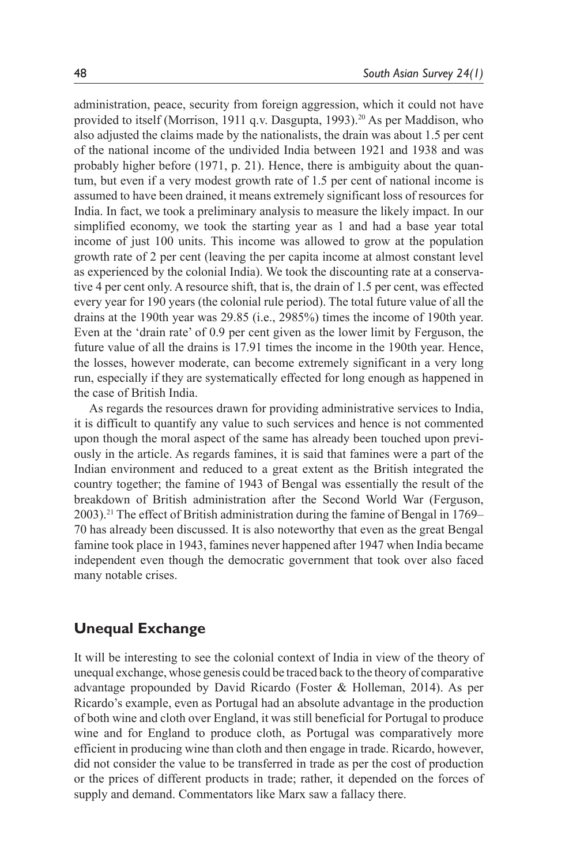administration, peace, security from foreign aggression, which it could not have provided to itself (Morrison, 1911 q.v. Dasgupta, 1993).<sup>20</sup> As per Maddison, who also adjusted the claims made by the nationalists, the drain was about 1.5 per cent of the national income of the undivided India between 1921 and 1938 and was probably higher before (1971, p. 21). Hence, there is ambiguity about the quantum, but even if a very modest growth rate of 1.5 per cent of national income is assumed to have been drained, it means extremely significant loss of resources for India. In fact, we took a preliminary analysis to measure the likely impact. In our simplified economy, we took the starting year as 1 and had a base year total income of just 100 units. This income was allowed to grow at the population growth rate of 2 per cent (leaving the per capita income at almost constant level as experienced by the colonial India). We took the discounting rate at a conservative 4 per cent only. A resource shift, that is, the drain of 1.5 per cent, was effected every year for 190 years (the colonial rule period). The total future value of all the drains at the 190th year was 29.85 (i.e., 2985%) times the income of 190th year. Even at the 'drain rate' of 0.9 per cent given as the lower limit by Ferguson, the future value of all the drains is 17.91 times the income in the 190th year. Hence, the losses, however moderate, can become extremely significant in a very long run, especially if they are systematically effected for long enough as happened in the case of British India.

As regards the resources drawn for providing administrative services to India, it is difficult to quantify any value to such services and hence is not commented upon though the moral aspect of the same has already been touched upon previously in the article. As regards famines, it is said that famines were a part of the Indian environment and reduced to a great extent as the British integrated the country together; the famine of 1943 of Bengal was essentially the result of the breakdown of British administration after the Second World War (Ferguson, 2003).<sup>21</sup> The effect of British administration during the famine of Bengal in 1769– 70 has already been discussed. It is also noteworthy that even as the great Bengal famine took place in 1943, famines never happened after 1947 when India became independent even though the democratic government that took over also faced many notable crises.

## **Unequal Exchange**

It will be interesting to see the colonial context of India in view of the theory of unequal exchange, whose genesis could be traced back to the theory of comparative advantage propounded by David Ricardo (Foster & Holleman, 2014). As per Ricardo's example, even as Portugal had an absolute advantage in the production of both wine and cloth over England, it was still beneficial for Portugal to produce wine and for England to produce cloth, as Portugal was comparatively more efficient in producing wine than cloth and then engage in trade. Ricardo, however, did not consider the value to be transferred in trade as per the cost of production or the prices of different products in trade; rather, it depended on the forces of supply and demand. Commentators like Marx saw a fallacy there.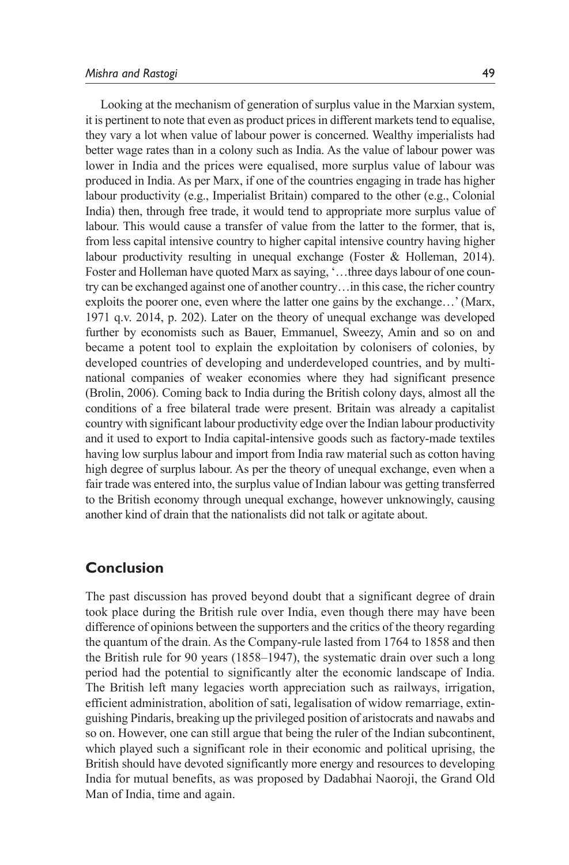Looking at the mechanism of generation of surplus value in the Marxian system, it is pertinent to note that even as product prices in different markets tend to equalise, they vary a lot when value of labour power is concerned. Wealthy imperialists had better wage rates than in a colony such as India. As the value of labour power was lower in India and the prices were equalised, more surplus value of labour was produced in India. As per Marx, if one of the countries engaging in trade has higher labour productivity (e.g., Imperialist Britain) compared to the other (e.g., Colonial India) then, through free trade, it would tend to appropriate more surplus value of labour. This would cause a transfer of value from the latter to the former, that is, from less capital intensive country to higher capital intensive country having higher labour productivity resulting in unequal exchange (Foster & Holleman, 2014). Foster and Holleman have quoted Marx as saying, '…three days labour of one country can be exchanged against one of another country…in this case, the richer country exploits the poorer one, even where the latter one gains by the exchange…' (Marx, 1971 q.v. 2014, p. 202). Later on the theory of unequal exchange was developed further by economists such as Bauer, Emmanuel, Sweezy, Amin and so on and became a potent tool to explain the exploitation by colonisers of colonies, by developed countries of developing and underdeveloped countries, and by multinational companies of weaker economies where they had significant presence (Brolin, 2006). Coming back to India during the British colony days, almost all the conditions of a free bilateral trade were present. Britain was already a capitalist country with significant labour productivity edge over the Indian labour productivity and it used to export to India capital-intensive goods such as factory-made textiles having low surplus labour and import from India raw material such as cotton having high degree of surplus labour. As per the theory of unequal exchange, even when a fair trade was entered into, the surplus value of Indian labour was getting transferred to the British economy through unequal exchange, however unknowingly, causing another kind of drain that the nationalists did not talk or agitate about.

## **Conclusion**

The past discussion has proved beyond doubt that a significant degree of drain took place during the British rule over India, even though there may have been difference of opinions between the supporters and the critics of the theory regarding the quantum of the drain. As the Company-rule lasted from 1764 to 1858 and then the British rule for 90 years (1858–1947), the systematic drain over such a long period had the potential to significantly alter the economic landscape of India. The British left many legacies worth appreciation such as railways, irrigation, efficient administration, abolition of sati, legalisation of widow remarriage, extinguishing Pindaris, breaking up the privileged position of aristocrats and nawabs and so on. However, one can still argue that being the ruler of the Indian subcontinent, which played such a significant role in their economic and political uprising, the British should have devoted significantly more energy and resources to developing India for mutual benefits, as was proposed by Dadabhai Naoroji, the Grand Old Man of India, time and again.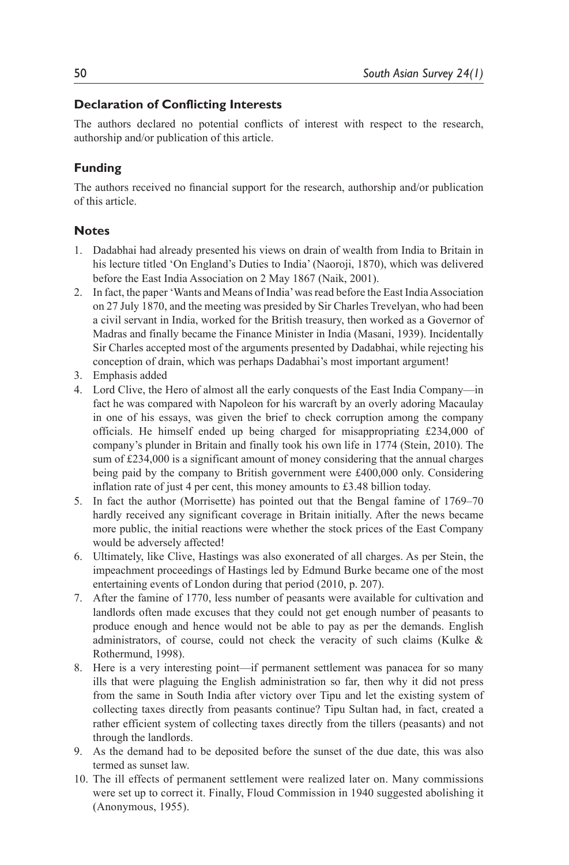#### **Declaration of Conflicting Interests**

The authors declared no potential conflicts of interest with respect to the research, authorship and/or publication of this article.

## **Funding**

The authors received no financial support for the research, authorship and/or publication of this article.

#### **Notes**

- 1. Dadabhai had already presented his views on drain of wealth from India to Britain in his lecture titled 'On England's Duties to India' (Naoroji, 1870), which was delivered before the East India Association on 2 May 1867 (Naik, 2001).
- 2. In fact, the paper 'Wants and Means of India' was read before the East India Association on 27 July 1870, and the meeting was presided by Sir Charles Trevelyan, who had been a civil servant in India, worked for the British treasury, then worked as a Governor of Madras and finally became the Finance Minister in India (Masani, 1939). Incidentally Sir Charles accepted most of the arguments presented by Dadabhai, while rejecting his conception of drain, which was perhaps Dadabhai's most important argument!
- 3. Emphasis added
- 4. Lord Clive, the Hero of almost all the early conquests of the East India Company—in fact he was compared with Napoleon for his warcraft by an overly adoring Macaulay in one of his essays, was given the brief to check corruption among the company officials. He himself ended up being charged for misappropriating £234,000 of company's plunder in Britain and finally took his own life in 1774 (Stein, 2010). The sum of £234,000 is a significant amount of money considering that the annual charges being paid by the company to British government were £400,000 only. Considering inflation rate of just 4 per cent, this money amounts to £3.48 billion today.
- 5. In fact the author (Morrisette) has pointed out that the Bengal famine of 1769–70 hardly received any significant coverage in Britain initially. After the news became more public, the initial reactions were whether the stock prices of the East Company would be adversely affected!
- 6. Ultimately, like Clive, Hastings was also exonerated of all charges. As per Stein, the impeachment proceedings of Hastings led by Edmund Burke became one of the most entertaining events of London during that period (2010, p. 207).
- 7. After the famine of 1770, less number of peasants were available for cultivation and landlords often made excuses that they could not get enough number of peasants to produce enough and hence would not be able to pay as per the demands. English administrators, of course, could not check the veracity of such claims (Kulke & Rothermund, 1998).
- 8. Here is a very interesting point—if permanent settlement was panacea for so many ills that were plaguing the English administration so far, then why it did not press from the same in South India after victory over Tipu and let the existing system of collecting taxes directly from peasants continue? Tipu Sultan had, in fact, created a rather efficient system of collecting taxes directly from the tillers (peasants) and not through the landlords.
- 9. As the demand had to be deposited before the sunset of the due date, this was also termed as sunset law.
- 10. The ill effects of permanent settlement were realized later on. Many commissions were set up to correct it. Finally, Floud Commission in 1940 suggested abolishing it (Anonymous, 1955).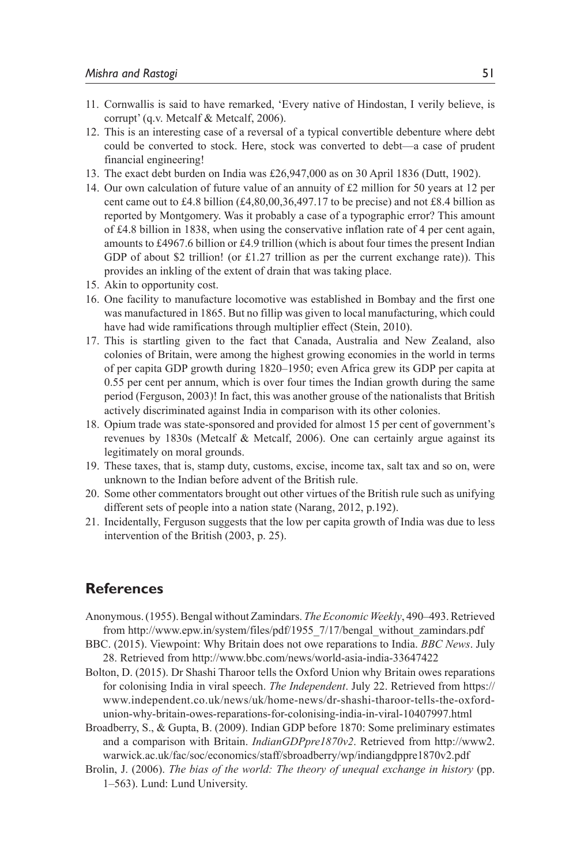- 11. Cornwallis is said to have remarked, 'Every native of Hindostan, I verily believe, is corrupt' (q.v. Metcalf & Metcalf, 2006).
- 12. This is an interesting case of a reversal of a typical convertible debenture where debt could be converted to stock. Here, stock was converted to debt—a case of prudent financial engineering!
- 13. The exact debt burden on India was £26,947,000 as on 30 April 1836 (Dutt, 1902).
- 14. Our own calculation of future value of an annuity of £2 million for 50 years at 12 per cent came out to £4.8 billion  $(\text{\textsterling}4, 80, 00, 36, 497.17)$  to be precise) and not £8.4 billion as reported by Montgomery. Was it probably a case of a typographic error? This amount of £4.8 billion in 1838, when using the conservative inflation rate of 4 per cent again, amounts to £4967.6 billion or £4.9 trillion (which is about four times the present Indian GDP of about \$2 trillion! (or £1.27 trillion as per the current exchange rate)). This provides an inkling of the extent of drain that was taking place.
- 15. Akin to opportunity cost.
- 16. One facility to manufacture locomotive was established in Bombay and the first one was manufactured in 1865. But no fillip was given to local manufacturing, which could have had wide ramifications through multiplier effect (Stein, 2010).
- 17. This is startling given to the fact that Canada, Australia and New Zealand, also colonies of Britain, were among the highest growing economies in the world in terms of per capita GDP growth during 1820–1950; even Africa grew its GDP per capita at 0.55 per cent per annum, which is over four times the Indian growth during the same period (Ferguson, 2003)! In fact, this was another grouse of the nationalists that British actively discriminated against India in comparison with its other colonies.
- 18. Opium trade was state-sponsored and provided for almost 15 per cent of government's revenues by 1830s (Metcalf & Metcalf, 2006). One can certainly argue against its legitimately on moral grounds.
- 19. These taxes, that is, stamp duty, customs, excise, income tax, salt tax and so on, were unknown to the Indian before advent of the British rule.
- 20. Some other commentators brought out other virtues of the British rule such as unifying different sets of people into a nation state (Narang, 2012, p.192).
- 21. Incidentally, Ferguson suggests that the low per capita growth of India was due to less intervention of the British (2003, p. 25).

#### **References**

- Anonymous. (1955). Bengal without Zamindars. *The Economic Weekly*, 490–493. Retrieved from http://www.epw.in/system/files/pdf/1955\_7/17/bengal\_without\_zamindars.pdf
- BBC. (2015). Viewpoint: Why Britain does not owe reparations to India. *BBC News*. July 28. Retrieved from http://www.bbc.com/news/world-asia-india-33647422
- Bolton, D. (2015). Dr Shashi Tharoor tells the Oxford Union why Britain owes reparations for colonising India in viral speech. *The Independent*. July 22. Retrieved from https:// www.independent.co.uk/news/uk/home-news/dr-shashi-tharoor-tells-the-oxfordunion-why-britain-owes-reparations-for-colonising-india-in-viral-10407997.html
- Broadberry, S., & Gupta, B. (2009). Indian GDP before 1870: Some preliminary estimates and a comparison with Britain. *IndianGDPpre1870v2*. Retrieved from http://www2. warwick.ac.uk/fac/soc/economics/staff/sbroadberry/wp/indiangdppre1870v2.pdf
- Brolin, J. (2006). *The bias of the world: The theory of unequal exchange in history* (pp. 1–563). Lund: Lund University.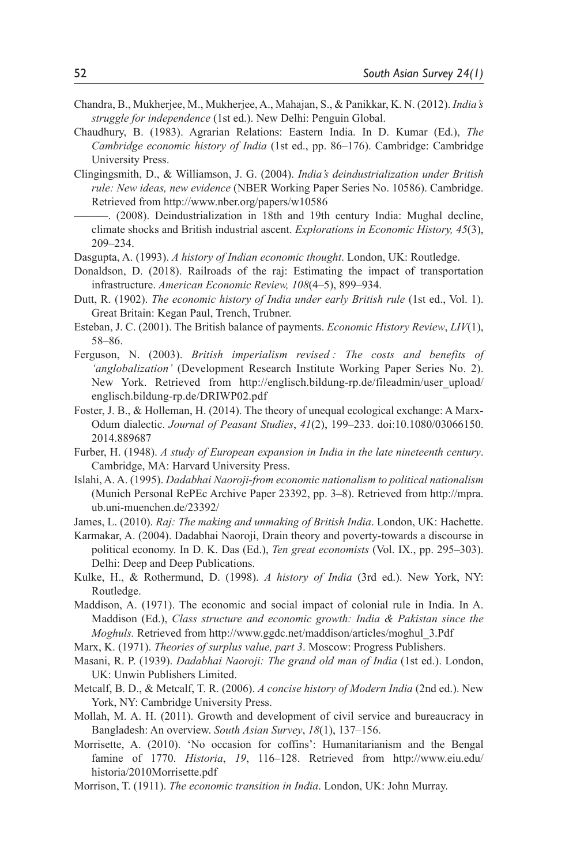- Chandra, B., Mukherjee, M., Mukherjee, A., Mahajan, S., & Panikkar, K. N. (2012). *India's struggle for independence* (1st ed.). New Delhi: Penguin Global.
- Chaudhury, B. (1983). Agrarian Relations: Eastern India. In D. Kumar (Ed.), *The Cambridge economic history of India* (1st ed., pp. 86–176). Cambridge: Cambridge University Press.
- Clingingsmith, D., & Williamson, J. G. (2004). *India's deindustrialization under British rule: New ideas, new evidence* (NBER Working Paper Series No. 10586). Cambridge. Retrieved from http://www.nber.org/papers/w10586
- ———. (2008). Deindustrialization in 18th and 19th century India: Mughal decline, climate shocks and British industrial ascent. *Explorations in Economic History, 45*(3), 209–234.
- Dasgupta, A. (1993). *A history of Indian economic thought*. London, UK: Routledge.
- Donaldson, D. (2018). Railroads of the raj: Estimating the impact of transportation infrastructure. *American Economic Review, 108*(4–5), 899–934.
- Dutt, R. (1902). *The economic history of India under early British rule* (1st ed., Vol. 1). Great Britain: Kegan Paul, Trench, Trubner.
- Esteban, J. C. (2001). The British balance of payments. *Economic History Review*, *LIV*(1), 58–86.
- Ferguson, N. (2003). *British imperialism revised : The costs and benefits of 'anglobalization'* (Development Research Institute Working Paper Series No. 2). New York. Retrieved from http://englisch.bildung-rp.de/fileadmin/user\_upload/ englisch.bildung-rp.de/DRIWP02.pdf
- Foster, J. B., & Holleman, H. (2014). The theory of unequal ecological exchange: A Marx-Odum dialectic. *Journal of Peasant Studies*, *41*(2), 199–233. doi:10.1080/03066150. 2014.889687
- Furber, H. (1948). *A study of European expansion in India in the late nineteenth century*. Cambridge, MA: Harvard University Press.
- Islahi, A. A. (1995). *Dadabhai Naoroji-from economic nationalism to political nationalism* (Munich Personal RePEc Archive Paper 23392, pp. 3–8). Retrieved from http://mpra. ub.uni-muenchen.de/23392/

James, L. (2010). *Raj: The making and unmaking of British India*. London, UK: Hachette.

- Karmakar, A. (2004). Dadabhai Naoroji, Drain theory and poverty-towards a discourse in political economy. In D. K. Das (Ed.), *Ten great economists* (Vol. IX., pp. 295–303). Delhi: Deep and Deep Publications.
- Kulke, H., & Rothermund, D. (1998). *A history of India* (3rd ed.). New York, NY: Routledge.
- Maddison, A. (1971). The economic and social impact of colonial rule in India. In A. Maddison (Ed.), *Class structure and economic growth: India & Pakistan since the Moghuls.* Retrieved from http://www.ggdc.net/maddison/articles/moghul\_3.Pdf
- Marx, K. (1971). *Theories of surplus value, part 3*. Moscow: Progress Publishers.
- Masani, R. P. (1939). *Dadabhai Naoroji: The grand old man of India* (1st ed.). London, UK: Unwin Publishers Limited.
- Metcalf, B. D., & Metcalf, T. R. (2006). *A concise history of Modern India* (2nd ed.). New York, NY: Cambridge University Press.
- Mollah, M. A. H. (2011). Growth and development of civil service and bureaucracy in Bangladesh: An overview. *South Asian Survey*, *18*(1), 137–156.
- Morrisette, A. (2010). 'No occasion for coffins': Humanitarianism and the Bengal famine of 1770. *Historia*, *19*, 116–128. Retrieved from http://www.eiu.edu/ historia/2010Morrisette.pdf
- Morrison, T. (1911). *The economic transition in India*. London, UK: John Murray.